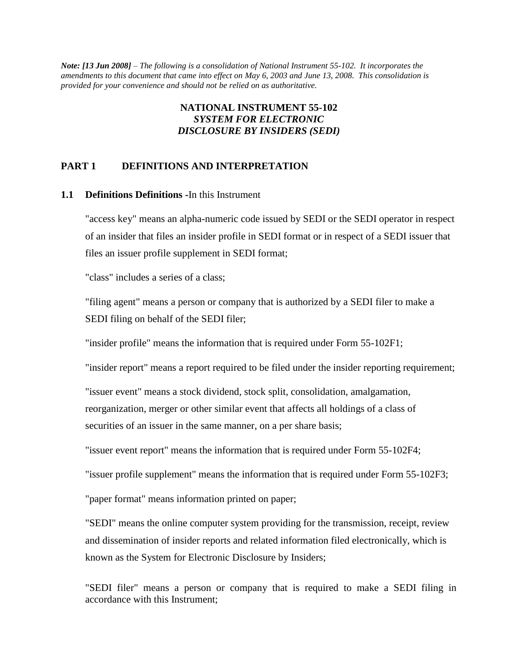*Note: [13 Jun 2008] – The following is a consolidation of National Instrument 55-102. It incorporates the amendments to this document that came into effect on May 6, 2003 and June 13, 2008. This consolidation is provided for your convenience and should not be relied on as authoritative.*

## **NATIONAL INSTRUMENT 55-102** *SYSTEM FOR ELECTRONIC DISCLOSURE BY INSIDERS (SEDI)*

### **PART 1 DEFINITIONS AND INTERPRETATION**

#### **1.1 Definitions Definitions -**In this Instrument

"access key" means an alpha-numeric code issued by SEDI or the SEDI operator in respect of an insider that files an insider profile in SEDI format or in respect of a SEDI issuer that files an issuer profile supplement in SEDI format;

"class" includes a series of a class;

"filing agent" means a person or company that is authorized by a SEDI filer to make a SEDI filing on behalf of the SEDI filer;

"insider profile" means the information that is required under Form 55-102F1;

"insider report" means a report required to be filed under the insider reporting requirement;

"issuer event" means a stock dividend, stock split, consolidation, amalgamation, reorganization, merger or other similar event that affects all holdings of a class of securities of an issuer in the same manner, on a per share basis;

"issuer event report" means the information that is required under Form 55-102F4;

"issuer profile supplement" means the information that is required under Form 55-102F3;

"paper format" means information printed on paper;

"SEDI" means the online computer system providing for the transmission, receipt, review and dissemination of insider reports and related information filed electronically, which is known as the System for Electronic Disclosure by Insiders;

"SEDI filer" means a person or company that is required to make a SEDI filing in accordance with this Instrument;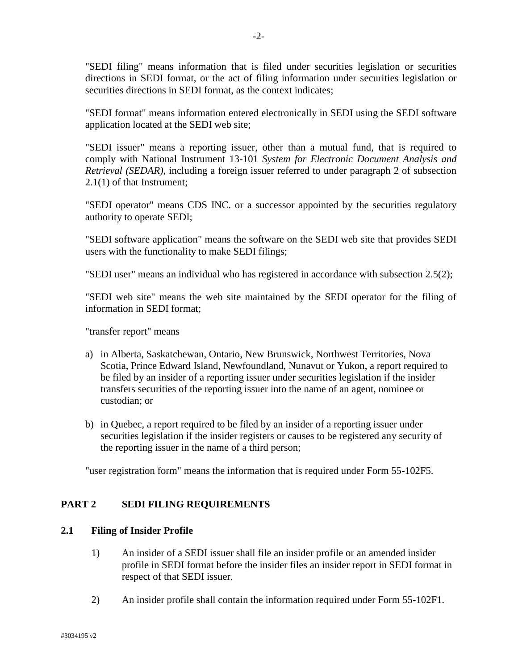"SEDI filing" means information that is filed under securities legislation or securities directions in SEDI format, or the act of filing information under securities legislation or securities directions in SEDI format, as the context indicates;

"SEDI format" means information entered electronically in SEDI using the SEDI software application located at the SEDI web site;

"SEDI issuer" means a reporting issuer, other than a mutual fund, that is required to comply with National Instrument 13-101 *System for Electronic Document Analysis and Retrieval (SEDAR)*, including a foreign issuer referred to under paragraph 2 of subsection 2.1(1) of that Instrument;

"SEDI operator" means CDS INC. or a successor appointed by the securities regulatory authority to operate SEDI;

"SEDI software application" means the software on the SEDI web site that provides SEDI users with the functionality to make SEDI filings;

"SEDI user" means an individual who has registered in accordance with subsection 2.5(2);

"SEDI web site" means the web site maintained by the SEDI operator for the filing of information in SEDI format;

"transfer report" means

- a) in Alberta, Saskatchewan, Ontario, New Brunswick, Northwest Territories, Nova Scotia, Prince Edward Island, Newfoundland, Nunavut or Yukon, a report required to be filed by an insider of a reporting issuer under securities legislation if the insider transfers securities of the reporting issuer into the name of an agent, nominee or custodian; or
- b) in Quebec, a report required to be filed by an insider of a reporting issuer under securities legislation if the insider registers or causes to be registered any security of the reporting issuer in the name of a third person;

"user registration form" means the information that is required under Form 55-102F5.

## **PART 2 SEDI FILING REQUIREMENTS**

#### **2.1 Filing of Insider Profile**

- 1) An insider of a SEDI issuer shall file an insider profile or an amended insider profile in SEDI format before the insider files an insider report in SEDI format in respect of that SEDI issuer.
- 2) An insider profile shall contain the information required under Form 55-102F1.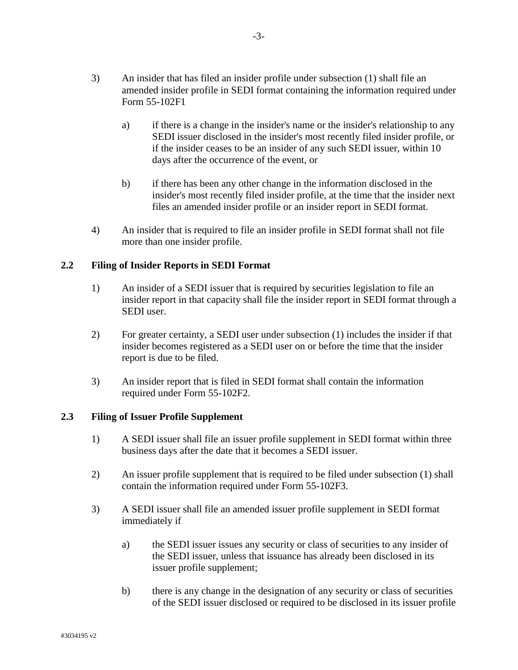- a) if there is a change in the insider's name or the insider's relationship to any SEDI issuer disclosed in the insider's most recently filed insider profile, or if the insider ceases to be an insider of any such SEDI issuer, within 10 days after the occurrence of the event, or
- b) if there has been any other change in the information disclosed in the insider's most recently filed insider profile, at the time that the insider next files an amended insider profile or an insider report in SEDI format.
- 4) An insider that is required to file an insider profile in SEDI format shall not file more than one insider profile.

## **2.2 Filing of Insider Reports in SEDI Format**

- 1) An insider of a SEDI issuer that is required by securities legislation to file an insider report in that capacity shall file the insider report in SEDI format through a SEDI user.
- 2) For greater certainty, a SEDI user under subsection (1) includes the insider if that insider becomes registered as a SEDI user on or before the time that the insider report is due to be filed.
- 3) An insider report that is filed in SEDI format shall contain the information required under Form 55-102F2.

## **2.3 Filing of Issuer Profile Supplement**

- 1) A SEDI issuer shall file an issuer profile supplement in SEDI format within three business days after the date that it becomes a SEDI issuer.
- 2) An issuer profile supplement that is required to be filed under subsection (1) shall contain the information required under Form 55-102F3.
- 3) A SEDI issuer shall file an amended issuer profile supplement in SEDI format immediately if
	- a) the SEDI issuer issues any security or class of securities to any insider of the SEDI issuer, unless that issuance has already been disclosed in its issuer profile supplement;
	- b) there is any change in the designation of any security or class of securities of the SEDI issuer disclosed or required to be disclosed in its issuer profile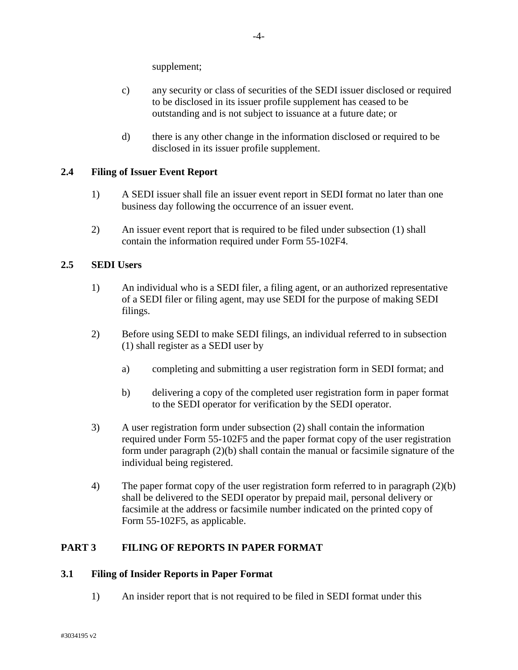supplement;

- c) any security or class of securities of the SEDI issuer disclosed or required to be disclosed in its issuer profile supplement has ceased to be outstanding and is not subject to issuance at a future date; or
- d) there is any other change in the information disclosed or required to be disclosed in its issuer profile supplement.

### **2.4 Filing of Issuer Event Report**

- 1) A SEDI issuer shall file an issuer event report in SEDI format no later than one business day following the occurrence of an issuer event.
- 2) An issuer event report that is required to be filed under subsection (1) shall contain the information required under Form 55-102F4.

### **2.5 SEDI Users**

- 1) An individual who is a SEDI filer, a filing agent, or an authorized representative of a SEDI filer or filing agent, may use SEDI for the purpose of making SEDI filings.
- 2) Before using SEDI to make SEDI filings, an individual referred to in subsection (1) shall register as a SEDI user by
	- a) completing and submitting a user registration form in SEDI format; and
	- b) delivering a copy of the completed user registration form in paper format to the SEDI operator for verification by the SEDI operator.
- 3) A user registration form under subsection (2) shall contain the information required under Form 55-102F5 and the paper format copy of the user registration form under paragraph (2)(b) shall contain the manual or facsimile signature of the individual being registered.
- 4) The paper format copy of the user registration form referred to in paragraph (2)(b) shall be delivered to the SEDI operator by prepaid mail, personal delivery or facsimile at the address or facsimile number indicated on the printed copy of Form 55-102F5, as applicable.

#### **PART 3 FILING OF REPORTS IN PAPER FORMAT**

#### **3.1 Filing of Insider Reports in Paper Format**

1) An insider report that is not required to be filed in SEDI format under this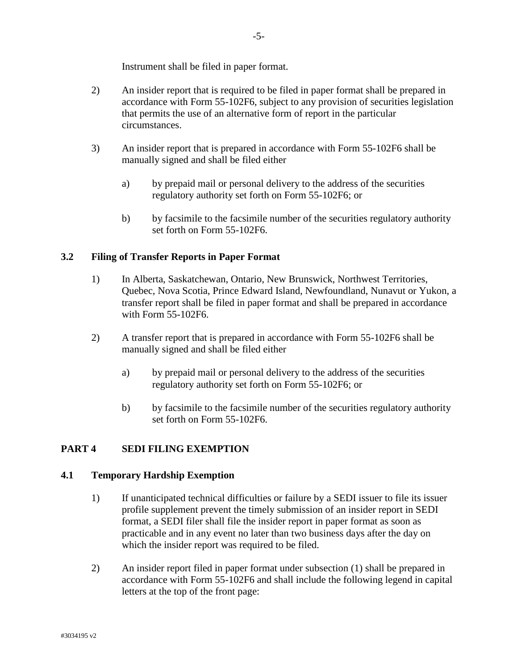Instrument shall be filed in paper format.

- 2) An insider report that is required to be filed in paper format shall be prepared in accordance with Form 55-102F6, subject to any provision of securities legislation that permits the use of an alternative form of report in the particular circumstances.
- 3) An insider report that is prepared in accordance with Form 55-102F6 shall be manually signed and shall be filed either
	- a) by prepaid mail or personal delivery to the address of the securities regulatory authority set forth on Form 55-102F6; or
	- b) by facsimile to the facsimile number of the securities regulatory authority set forth on Form 55-102F6.

#### **3.2 Filing of Transfer Reports in Paper Format**

- 1) In Alberta, Saskatchewan, Ontario, New Brunswick, Northwest Territories, Quebec, Nova Scotia, Prince Edward Island, Newfoundland, Nunavut or Yukon, a transfer report shall be filed in paper format and shall be prepared in accordance with Form 55-102F6.
- 2) A transfer report that is prepared in accordance with Form 55-102F6 shall be manually signed and shall be filed either
	- a) by prepaid mail or personal delivery to the address of the securities regulatory authority set forth on Form 55-102F6; or
	- b) by facsimile to the facsimile number of the securities regulatory authority set forth on Form 55-102F6.

## **PART 4 SEDI FILING EXEMPTION**

#### **4.1 Temporary Hardship Exemption**

- 1) If unanticipated technical difficulties or failure by a SEDI issuer to file its issuer profile supplement prevent the timely submission of an insider report in SEDI format, a SEDI filer shall file the insider report in paper format as soon as practicable and in any event no later than two business days after the day on which the insider report was required to be filed.
- 2) An insider report filed in paper format under subsection (1) shall be prepared in accordance with Form 55-102F6 and shall include the following legend in capital letters at the top of the front page: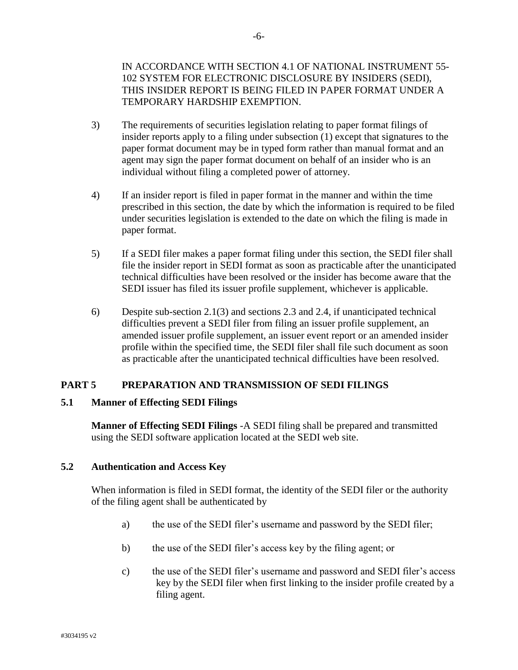IN ACCORDANCE WITH SECTION 4.1 OF NATIONAL INSTRUMENT 55- 102 SYSTEM FOR ELECTRONIC DISCLOSURE BY INSIDERS (SEDI), THIS INSIDER REPORT IS BEING FILED IN PAPER FORMAT UNDER A TEMPORARY HARDSHIP EXEMPTION.

- 3) The requirements of securities legislation relating to paper format filings of insider reports apply to a filing under subsection (1) except that signatures to the paper format document may be in typed form rather than manual format and an agent may sign the paper format document on behalf of an insider who is an individual without filing a completed power of attorney.
- 4) If an insider report is filed in paper format in the manner and within the time prescribed in this section, the date by which the information is required to be filed under securities legislation is extended to the date on which the filing is made in paper format.
- 5) If a SEDI filer makes a paper format filing under this section, the SEDI filer shall file the insider report in SEDI format as soon as practicable after the unanticipated technical difficulties have been resolved or the insider has become aware that the SEDI issuer has filed its issuer profile supplement, whichever is applicable.
- 6) Despite sub-section 2.1(3) and sections 2.3 and 2.4, if unanticipated technical difficulties prevent a SEDI filer from filing an issuer profile supplement, an amended issuer profile supplement, an issuer event report or an amended insider profile within the specified time, the SEDI filer shall file such document as soon as practicable after the unanticipated technical difficulties have been resolved.

## **PART 5 PREPARATION AND TRANSMISSION OF SEDI FILINGS**

#### **5.1 Manner of Effecting SEDI Filings**

**Manner of Effecting SEDI Filings** -A SEDI filing shall be prepared and transmitted using the SEDI software application located at the SEDI web site.

#### **5.2 Authentication and Access Key**

When information is filed in SEDI format, the identity of the SEDI filer or the authority of the filing agent shall be authenticated by

- a) the use of the SEDI filer's username and password by the SEDI filer;
- b) the use of the SEDI filer's access key by the filing agent; or
- c) the use of the SEDI filer's username and password and SEDI filer's access key by the SEDI filer when first linking to the insider profile created by a filing agent.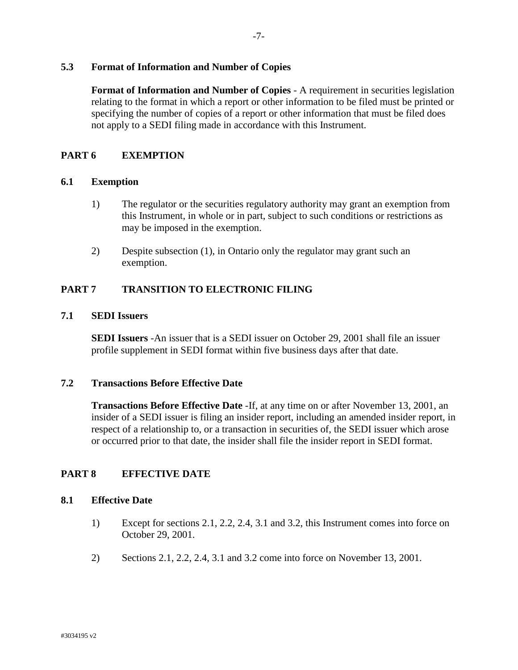#### **5.3 Format of Information and Number of Copies**

**Format of Information and Number of Copies** - A requirement in securities legislation relating to the format in which a report or other information to be filed must be printed or specifying the number of copies of a report or other information that must be filed does not apply to a SEDI filing made in accordance with this Instrument.

#### **PART 6 EXEMPTION**

#### **6.1 Exemption**

- 1) The regulator or the securities regulatory authority may grant an exemption from this Instrument, in whole or in part, subject to such conditions or restrictions as may be imposed in the exemption.
- 2) Despite subsection (1), in Ontario only the regulator may grant such an exemption.

### **PART 7 TRANSITION TO ELECTRONIC FILING**

#### **7.1 SEDI Issuers**

**SEDI Issuers** -An issuer that is a SEDI issuer on October 29, 2001 shall file an issuer profile supplement in SEDI format within five business days after that date.

#### **7.2 Transactions Before Effective Date**

**Transactions Before Effective Date** -If, at any time on or after November 13, 2001, an insider of a SEDI issuer is filing an insider report, including an amended insider report, in respect of a relationship to, or a transaction in securities of, the SEDI issuer which arose or occurred prior to that date, the insider shall file the insider report in SEDI format.

#### **PART 8 EFFECTIVE DATE**

#### **8.1 Effective Date**

- 1) Except for sections 2.1, 2.2, 2.4, 3.1 and 3.2, this Instrument comes into force on October 29, 2001.
- 2) Sections 2.1, 2.2, 2.4, 3.1 and 3.2 come into force on November 13, 2001.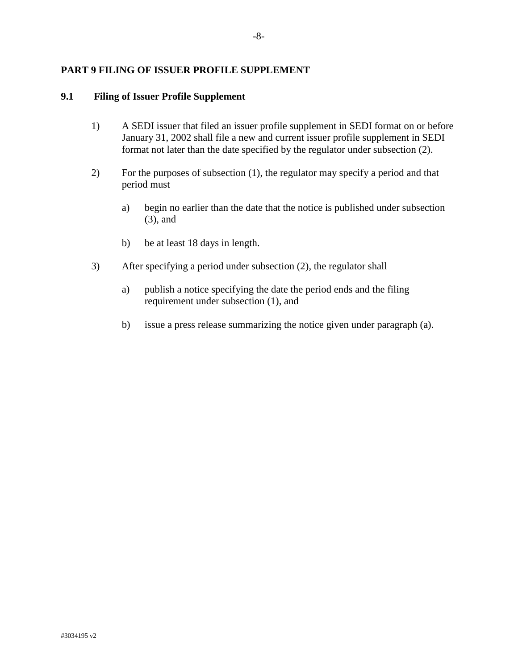#### **PART 9 FILING OF ISSUER PROFILE SUPPLEMENT**

#### **9.1 Filing of Issuer Profile Supplement**

- 1) A SEDI issuer that filed an issuer profile supplement in SEDI format on or before January 31, 2002 shall file a new and current issuer profile supplement in SEDI format not later than the date specified by the regulator under subsection (2).
- 2) For the purposes of subsection (1), the regulator may specify a period and that period must
	- a) begin no earlier than the date that the notice is published under subsection (3), and
	- b) be at least 18 days in length.
- 3) After specifying a period under subsection (2), the regulator shall
	- a) publish a notice specifying the date the period ends and the filing requirement under subsection (1), and
	- b) issue a press release summarizing the notice given under paragraph (a).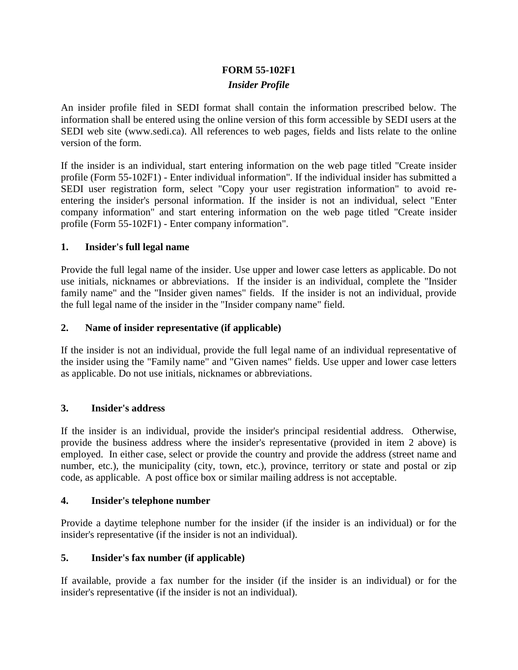# **FORM 55-102F1** *Insider Profile*

An insider profile filed in SEDI format shall contain the information prescribed below. The information shall be entered using the online version of this form accessible by SEDI users at the SEDI web site (www.sedi.ca). All references to web pages, fields and lists relate to the online version of the form.

If the insider is an individual, start entering information on the web page titled "Create insider profile (Form 55-102F1) - Enter individual information". If the individual insider has submitted a SEDI user registration form, select "Copy your user registration information" to avoid reentering the insider's personal information. If the insider is not an individual, select "Enter company information" and start entering information on the web page titled "Create insider profile (Form 55-102F1) - Enter company information".

### **1. Insider's full legal name**

Provide the full legal name of the insider. Use upper and lower case letters as applicable. Do not use initials, nicknames or abbreviations. If the insider is an individual, complete the "Insider family name" and the "Insider given names" fields. If the insider is not an individual, provide the full legal name of the insider in the "Insider company name" field.

### **2. Name of insider representative (if applicable)**

If the insider is not an individual, provide the full legal name of an individual representative of the insider using the "Family name" and "Given names" fields. Use upper and lower case letters as applicable. Do not use initials, nicknames or abbreviations.

#### **3. Insider's address**

If the insider is an individual, provide the insider's principal residential address. Otherwise, provide the business address where the insider's representative (provided in item 2 above) is employed. In either case, select or provide the country and provide the address (street name and number, etc.), the municipality (city, town, etc.), province, territory or state and postal or zip code, as applicable. A post office box or similar mailing address is not acceptable.

#### **4. Insider's telephone number**

Provide a daytime telephone number for the insider (if the insider is an individual) or for the insider's representative (if the insider is not an individual).

#### **5. Insider's fax number (if applicable)**

If available, provide a fax number for the insider (if the insider is an individual) or for the insider's representative (if the insider is not an individual).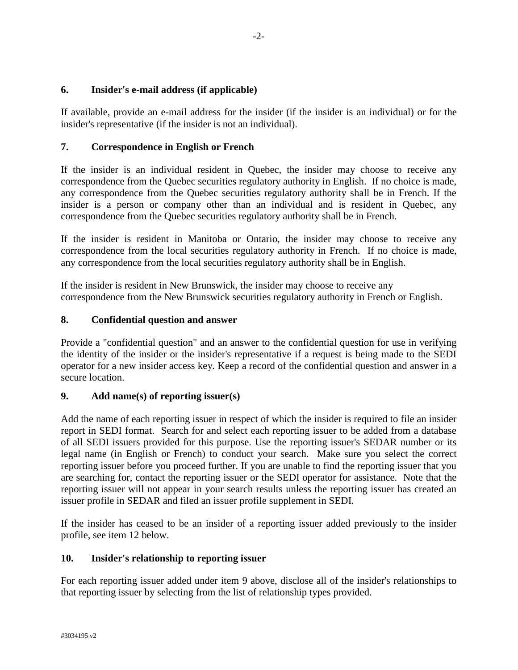### **6. Insider's e-mail address (if applicable)**

If available, provide an e-mail address for the insider (if the insider is an individual) or for the insider's representative (if the insider is not an individual).

### **7. Correspondence in English or French**

If the insider is an individual resident in Quebec, the insider may choose to receive any correspondence from the Quebec securities regulatory authority in English. If no choice is made, any correspondence from the Quebec securities regulatory authority shall be in French. If the insider is a person or company other than an individual and is resident in Quebec, any correspondence from the Quebec securities regulatory authority shall be in French.

If the insider is resident in Manitoba or Ontario, the insider may choose to receive any correspondence from the local securities regulatory authority in French. If no choice is made, any correspondence from the local securities regulatory authority shall be in English.

If the insider is resident in New Brunswick, the insider may choose to receive any correspondence from the New Brunswick securities regulatory authority in French or English.

#### **8. Confidential question and answer**

Provide a "confidential question" and an answer to the confidential question for use in verifying the identity of the insider or the insider's representative if a request is being made to the SEDI operator for a new insider access key. Keep a record of the confidential question and answer in a secure location.

#### **9. Add name(s) of reporting issuer(s)**

Add the name of each reporting issuer in respect of which the insider is required to file an insider report in SEDI format. Search for and select each reporting issuer to be added from a database of all SEDI issuers provided for this purpose. Use the reporting issuer's SEDAR number or its legal name (in English or French) to conduct your search. Make sure you select the correct reporting issuer before you proceed further. If you are unable to find the reporting issuer that you are searching for, contact the reporting issuer or the SEDI operator for assistance. Note that the reporting issuer will not appear in your search results unless the reporting issuer has created an issuer profile in SEDAR and filed an issuer profile supplement in SEDI.

If the insider has ceased to be an insider of a reporting issuer added previously to the insider profile, see item 12 below.

#### **10. Insider's relationship to reporting issuer**

For each reporting issuer added under item 9 above, disclose all of the insider's relationships to that reporting issuer by selecting from the list of relationship types provided.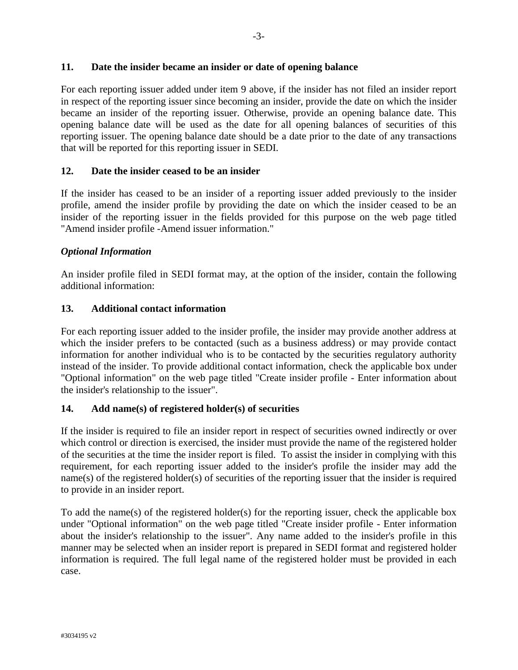For each reporting issuer added under item 9 above, if the insider has not filed an insider report in respect of the reporting issuer since becoming an insider, provide the date on which the insider became an insider of the reporting issuer. Otherwise, provide an opening balance date. This opening balance date will be used as the date for all opening balances of securities of this reporting issuer. The opening balance date should be a date prior to the date of any transactions that will be reported for this reporting issuer in SEDI.

### **12. Date the insider ceased to be an insider**

If the insider has ceased to be an insider of a reporting issuer added previously to the insider profile, amend the insider profile by providing the date on which the insider ceased to be an insider of the reporting issuer in the fields provided for this purpose on the web page titled "Amend insider profile -Amend issuer information."

### *Optional Information*

An insider profile filed in SEDI format may, at the option of the insider, contain the following additional information:

### **13. Additional contact information**

For each reporting issuer added to the insider profile, the insider may provide another address at which the insider prefers to be contacted (such as a business address) or may provide contact information for another individual who is to be contacted by the securities regulatory authority instead of the insider. To provide additional contact information, check the applicable box under "Optional information" on the web page titled "Create insider profile - Enter information about the insider's relationship to the issuer".

#### **14. Add name(s) of registered holder(s) of securities**

If the insider is required to file an insider report in respect of securities owned indirectly or over which control or direction is exercised, the insider must provide the name of the registered holder of the securities at the time the insider report is filed. To assist the insider in complying with this requirement, for each reporting issuer added to the insider's profile the insider may add the name(s) of the registered holder(s) of securities of the reporting issuer that the insider is required to provide in an insider report.

To add the name(s) of the registered holder(s) for the reporting issuer, check the applicable box under "Optional information" on the web page titled "Create insider profile - Enter information about the insider's relationship to the issuer". Any name added to the insider's profile in this manner may be selected when an insider report is prepared in SEDI format and registered holder information is required. The full legal name of the registered holder must be provided in each case.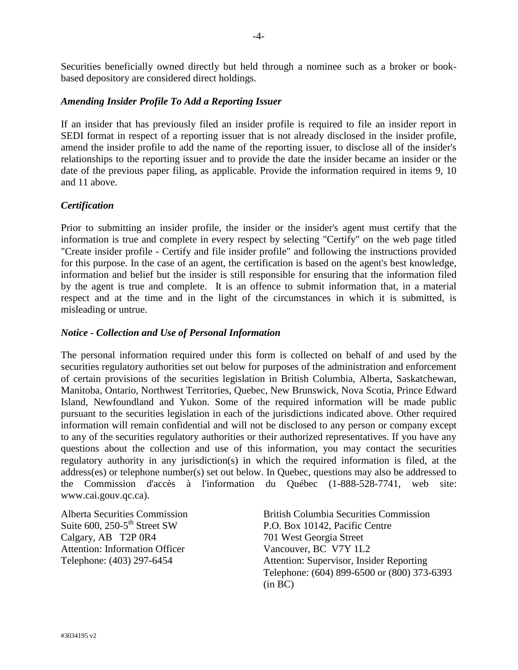Securities beneficially owned directly but held through a nominee such as a broker or bookbased depository are considered direct holdings.

#### *Amending Insider Profile To Add a Reporting Issuer*

If an insider that has previously filed an insider profile is required to file an insider report in SEDI format in respect of a reporting issuer that is not already disclosed in the insider profile, amend the insider profile to add the name of the reporting issuer, to disclose all of the insider's relationships to the reporting issuer and to provide the date the insider became an insider or the date of the previous paper filing, as applicable. Provide the information required in items 9, 10 and 11 above.

#### *Certification*

Prior to submitting an insider profile, the insider or the insider's agent must certify that the information is true and complete in every respect by selecting "Certify" on the web page titled "Create insider profile - Certify and file insider profile" and following the instructions provided for this purpose. In the case of an agent, the certification is based on the agent's best knowledge, information and belief but the insider is still responsible for ensuring that the information filed by the agent is true and complete. It is an offence to submit information that, in a material respect and at the time and in the light of the circumstances in which it is submitted, is misleading or untrue.

#### *Notice - Collection and Use of Personal Information*

The personal information required under this form is collected on behalf of and used by the securities regulatory authorities set out below for purposes of the administration and enforcement of certain provisions of the securities legislation in British Columbia, Alberta, Saskatchewan, Manitoba, Ontario, Northwest Territories, Quebec, New Brunswick, Nova Scotia, Prince Edward Island, Newfoundland and Yukon. Some of the required information will be made public pursuant to the securities legislation in each of the jurisdictions indicated above. Other required information will remain confidential and will not be disclosed to any person or company except to any of the securities regulatory authorities or their authorized representatives. If you have any questions about the collection and use of this information, you may contact the securities regulatory authority in any jurisdiction(s) in which the required information is filed, at the address(es) or telephone number(s) set out below. In Quebec, questions may also be addressed to the Commission d'accès à l'information du Québec (1-888-528-7741, web site: www.cai.gouv.qc.ca).

Alberta Securities Commission Suite 600, 250-5<sup>th</sup> Street SW Calgary, AB T2P 0R4 Attention: Information Officer Telephone: (403) 297-6454

British Columbia Securities Commission P.O. Box 10142, Pacific Centre 701 West Georgia Street Vancouver, BC V7Y 1L2 Attention: Supervisor, Insider Reporting Telephone: (604) 899-6500 or (800) 373-6393 (in BC)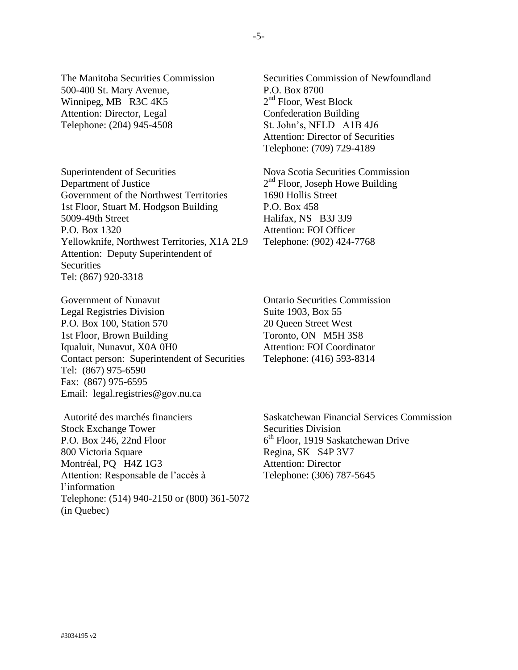The Manitoba Securities Commission 500-400 St. Mary Avenue, Winnipeg, MB R3C 4K5 Attention: Director, Legal Telephone: (204) 945-4508

Superintendent of Securities Department of Justice Government of the Northwest Territories 1st Floor, Stuart M. Hodgson Building 5009-49th Street P.O. Box 1320 Yellowknife, Northwest Territories, X1A 2L9 Attention: Deputy Superintendent of **Securities** Tel: (867) 920-3318

Government of Nunavut Legal Registries Division P.O. Box 100, Station 570 1st Floor, Brown Building Iqualuit, Nunavut, X0A 0H0 Contact person: Superintendent of Securities Tel: (867) 975-6590 Fax: (867) 975-6595 Email: legal.registries@gov.nu.ca

Autorité des marchés financiers Stock Exchange Tower P.O. Box 246, 22nd Floor 800 Victoria Square Montréal, PQ H4Z 1G3 Attention: Responsable de l'accès à l'information Telephone: (514) 940-2150 or (800) 361-5072 (in Quebec)

Securities Commission of Newfoundland P.O. Box 8700 2<sup>nd</sup> Floor, West Block Confederation Building St. John's, NFLD A1B 4J6 Attention: Director of Securities Telephone: (709) 729-4189

Nova Scotia Securities Commission 2<sup>nd</sup> Floor, Joseph Howe Building 1690 Hollis Street P.O. Box 458 Halifax, NS B3J 3J9 Attention: FOI Officer Telephone: (902) 424-7768

Ontario Securities Commission Suite 1903, Box 55 20 Queen Street West Toronto, ON M5H 3S8 Attention: FOI Coordinator Telephone: (416) 593-8314

Saskatchewan Financial Services Commission Securities Division 6<sup>th</sup> Floor, 1919 Saskatchewan Drive Regina, SK S4P 3V7 Attention: Director Telephone: (306) 787-5645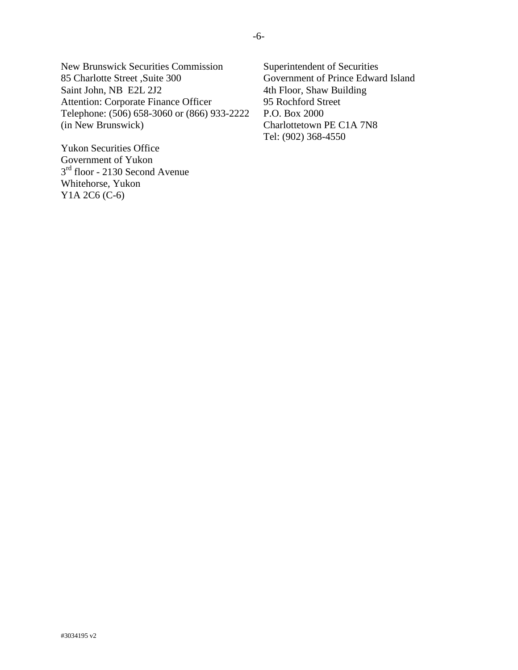New Brunswick Securities Commission 85 Charlotte Street ,Suite 300 Saint John, NB E2L 2J2 Attention: Corporate Finance Officer Telephone: (506) 658-3060 or (866) 933-2222 (in New Brunswick)

Yukon Securities Office Government of Yukon 3<sup>rd</sup> floor - 2130 Second Avenue Whitehorse, Yukon Y1A 2C6 (C-6)

Superintendent of Securities Government of Prince Edward Island 4th Floor, Shaw Building 95 Rochford Street P.O. Box 2000 Charlottetown PE C1A 7N8 Tel: (902) 368-4550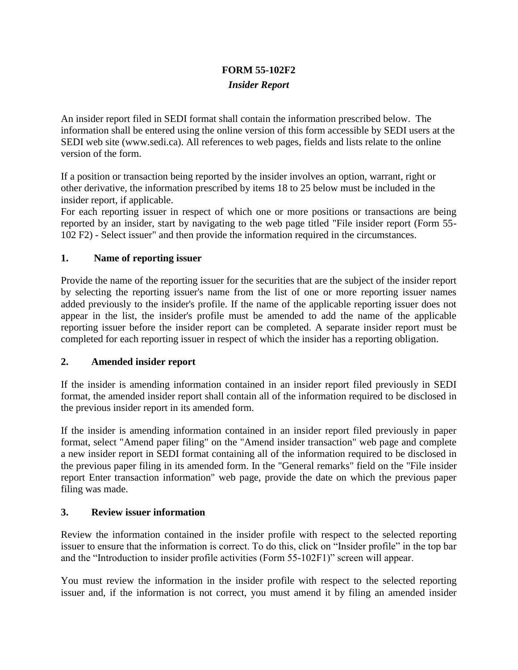# **FORM 55-102F2** *Insider Report*

An insider report filed in SEDI format shall contain the information prescribed below. The information shall be entered using the online version of this form accessible by SEDI users at the SEDI web site (www.sedi.ca). All references to web pages, fields and lists relate to the online version of the form.

If a position or transaction being reported by the insider involves an option, warrant, right or other derivative, the information prescribed by items 18 to 25 below must be included in the insider report, if applicable.

For each reporting issuer in respect of which one or more positions or transactions are being reported by an insider, start by navigating to the web page titled "File insider report (Form 55- 102 F2) - Select issuer" and then provide the information required in the circumstances.

## **1. Name of reporting issuer**

Provide the name of the reporting issuer for the securities that are the subject of the insider report by selecting the reporting issuer's name from the list of one or more reporting issuer names added previously to the insider's profile. If the name of the applicable reporting issuer does not appear in the list, the insider's profile must be amended to add the name of the applicable reporting issuer before the insider report can be completed. A separate insider report must be completed for each reporting issuer in respect of which the insider has a reporting obligation.

#### **2. Amended insider report**

If the insider is amending information contained in an insider report filed previously in SEDI format, the amended insider report shall contain all of the information required to be disclosed in the previous insider report in its amended form.

If the insider is amending information contained in an insider report filed previously in paper format, select "Amend paper filing" on the "Amend insider transaction" web page and complete a new insider report in SEDI format containing all of the information required to be disclosed in the previous paper filing in its amended form. In the "General remarks" field on the "File insider report Enter transaction information" web page, provide the date on which the previous paper filing was made.

## **3. Review issuer information**

Review the information contained in the insider profile with respect to the selected reporting issuer to ensure that the information is correct. To do this, click on "Insider profile" in the top bar and the "Introduction to insider profile activities (Form 55-102F1)" screen will appear.

You must review the information in the insider profile with respect to the selected reporting issuer and, if the information is not correct, you must amend it by filing an amended insider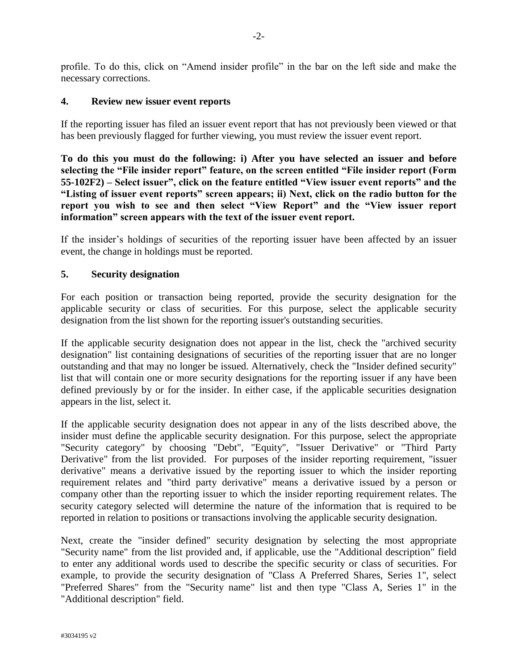profile. To do this, click on "Amend insider profile" in the bar on the left side and make the necessary corrections.

#### **4. Review new issuer event reports**

If the reporting issuer has filed an issuer event report that has not previously been viewed or that has been previously flagged for further viewing, you must review the issuer event report.

**To do this you must do the following: i) After you have selected an issuer and before selecting the "File insider report" feature, on the screen entitled "File insider report (Form 55-102F2) – Select issuer", click on the feature entitled "View issuer event reports" and the "Listing of issuer event reports" screen appears; ii) Next, click on the radio button for the report you wish to see and then select "View Report" and the "View issuer report information" screen appears with the text of the issuer event report.** 

If the insider's holdings of securities of the reporting issuer have been affected by an issuer event, the change in holdings must be reported.

#### **5. Security designation**

For each position or transaction being reported, provide the security designation for the applicable security or class of securities. For this purpose, select the applicable security designation from the list shown for the reporting issuer's outstanding securities.

If the applicable security designation does not appear in the list, check the "archived security designation" list containing designations of securities of the reporting issuer that are no longer outstanding and that may no longer be issued. Alternatively, check the "Insider defined security" list that will contain one or more security designations for the reporting issuer if any have been defined previously by or for the insider. In either case, if the applicable securities designation appears in the list, select it.

If the applicable security designation does not appear in any of the lists described above, the insider must define the applicable security designation. For this purpose, select the appropriate "Security category" by choosing "Debt", "Equity", "Issuer Derivative" or "Third Party Derivative" from the list provided. For purposes of the insider reporting requirement, "issuer derivative" means a derivative issued by the reporting issuer to which the insider reporting requirement relates and "third party derivative" means a derivative issued by a person or company other than the reporting issuer to which the insider reporting requirement relates. The security category selected will determine the nature of the information that is required to be reported in relation to positions or transactions involving the applicable security designation.

Next, create the "insider defined" security designation by selecting the most appropriate "Security name" from the list provided and, if applicable, use the "Additional description" field to enter any additional words used to describe the specific security or class of securities. For example, to provide the security designation of "Class A Preferred Shares, Series 1", select "Preferred Shares" from the "Security name" list and then type "Class A, Series 1" in the "Additional description" field.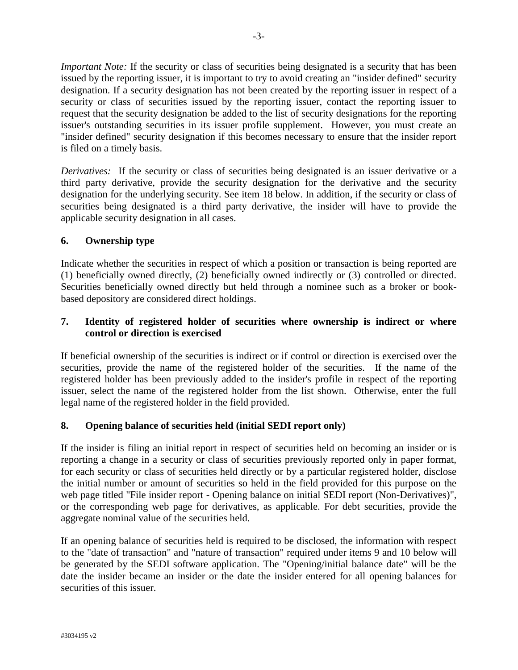*Important Note:* If the security or class of securities being designated is a security that has been issued by the reporting issuer, it is important to try to avoid creating an "insider defined" security designation. If a security designation has not been created by the reporting issuer in respect of a security or class of securities issued by the reporting issuer, contact the reporting issuer to request that the security designation be added to the list of security designations for the reporting issuer's outstanding securities in its issuer profile supplement. However, you must create an "insider defined" security designation if this becomes necessary to ensure that the insider report is filed on a timely basis.

*Derivatives:* If the security or class of securities being designated is an issuer derivative or a third party derivative, provide the security designation for the derivative and the security designation for the underlying security. See item 18 below. In addition, if the security or class of securities being designated is a third party derivative, the insider will have to provide the applicable security designation in all cases.

## **6. Ownership type**

Indicate whether the securities in respect of which a position or transaction is being reported are (1) beneficially owned directly, (2) beneficially owned indirectly or (3) controlled or directed. Securities beneficially owned directly but held through a nominee such as a broker or bookbased depository are considered direct holdings.

### **7. Identity of registered holder of securities where ownership is indirect or where control or direction is exercised**

If beneficial ownership of the securities is indirect or if control or direction is exercised over the securities, provide the name of the registered holder of the securities. If the name of the registered holder has been previously added to the insider's profile in respect of the reporting issuer, select the name of the registered holder from the list shown. Otherwise, enter the full legal name of the registered holder in the field provided.

## **8. Opening balance of securities held (initial SEDI report only)**

If the insider is filing an initial report in respect of securities held on becoming an insider or is reporting a change in a security or class of securities previously reported only in paper format, for each security or class of securities held directly or by a particular registered holder, disclose the initial number or amount of securities so held in the field provided for this purpose on the web page titled "File insider report - Opening balance on initial SEDI report (Non-Derivatives)", or the corresponding web page for derivatives, as applicable. For debt securities, provide the aggregate nominal value of the securities held.

If an opening balance of securities held is required to be disclosed, the information with respect to the "date of transaction" and "nature of transaction" required under items 9 and 10 below will be generated by the SEDI software application. The "Opening/initial balance date" will be the date the insider became an insider or the date the insider entered for all opening balances for securities of this issuer.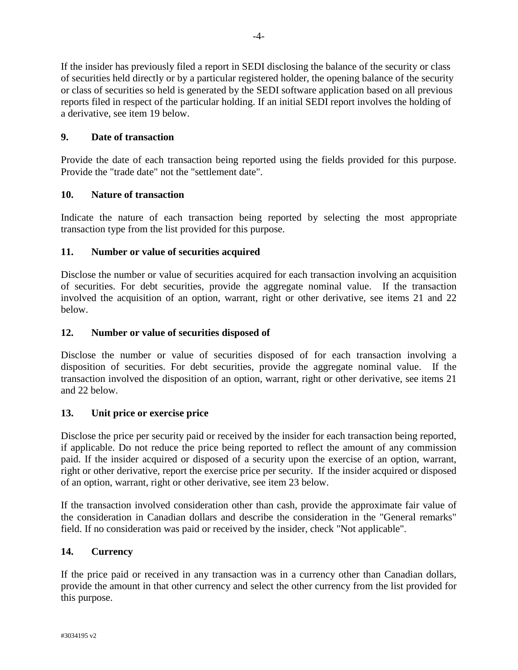If the insider has previously filed a report in SEDI disclosing the balance of the security or class of securities held directly or by a particular registered holder, the opening balance of the security or class of securities so held is generated by the SEDI software application based on all previous reports filed in respect of the particular holding. If an initial SEDI report involves the holding of a derivative, see item 19 below.

### **9. Date of transaction**

Provide the date of each transaction being reported using the fields provided for this purpose. Provide the "trade date" not the "settlement date".

### **10. Nature of transaction**

Indicate the nature of each transaction being reported by selecting the most appropriate transaction type from the list provided for this purpose.

#### **11. Number or value of securities acquired**

Disclose the number or value of securities acquired for each transaction involving an acquisition of securities. For debt securities, provide the aggregate nominal value. If the transaction involved the acquisition of an option, warrant, right or other derivative, see items 21 and 22 below.

#### **12. Number or value of securities disposed of**

Disclose the number or value of securities disposed of for each transaction involving a disposition of securities. For debt securities, provide the aggregate nominal value. If the transaction involved the disposition of an option, warrant, right or other derivative, see items 21 and 22 below.

#### **13. Unit price or exercise price**

Disclose the price per security paid or received by the insider for each transaction being reported, if applicable. Do not reduce the price being reported to reflect the amount of any commission paid. If the insider acquired or disposed of a security upon the exercise of an option, warrant, right or other derivative, report the exercise price per security. If the insider acquired or disposed of an option, warrant, right or other derivative, see item 23 below.

If the transaction involved consideration other than cash, provide the approximate fair value of the consideration in Canadian dollars and describe the consideration in the "General remarks" field. If no consideration was paid or received by the insider, check "Not applicable".

#### **14. Currency**

If the price paid or received in any transaction was in a currency other than Canadian dollars, provide the amount in that other currency and select the other currency from the list provided for this purpose.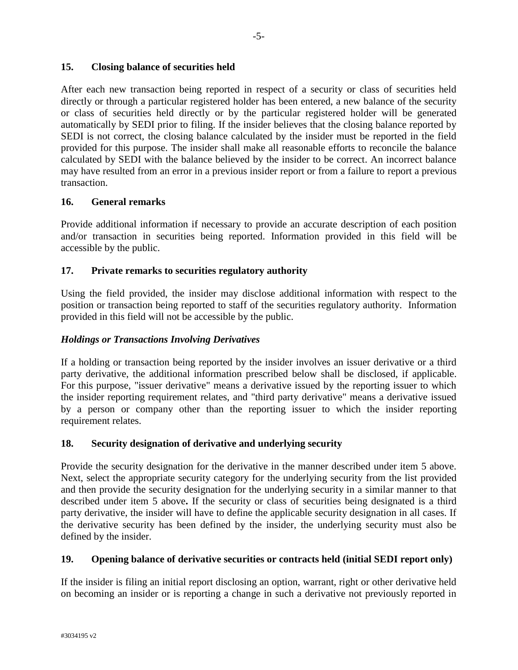#### **15. Closing balance of securities held**

After each new transaction being reported in respect of a security or class of securities held directly or through a particular registered holder has been entered, a new balance of the security or class of securities held directly or by the particular registered holder will be generated automatically by SEDI prior to filing. If the insider believes that the closing balance reported by SEDI is not correct, the closing balance calculated by the insider must be reported in the field provided for this purpose. The insider shall make all reasonable efforts to reconcile the balance calculated by SEDI with the balance believed by the insider to be correct. An incorrect balance may have resulted from an error in a previous insider report or from a failure to report a previous transaction.

#### **16. General remarks**

Provide additional information if necessary to provide an accurate description of each position and/or transaction in securities being reported. Information provided in this field will be accessible by the public.

### **17. Private remarks to securities regulatory authority**

Using the field provided, the insider may disclose additional information with respect to the position or transaction being reported to staff of the securities regulatory authority. Information provided in this field will not be accessible by the public.

#### *Holdings or Transactions Involving Derivatives*

If a holding or transaction being reported by the insider involves an issuer derivative or a third party derivative, the additional information prescribed below shall be disclosed, if applicable. For this purpose, "issuer derivative" means a derivative issued by the reporting issuer to which the insider reporting requirement relates, and "third party derivative" means a derivative issued by a person or company other than the reporting issuer to which the insider reporting requirement relates.

#### **18. Security designation of derivative and underlying security**

Provide the security designation for the derivative in the manner described under item 5 above. Next, select the appropriate security category for the underlying security from the list provided and then provide the security designation for the underlying security in a similar manner to that described under item 5 above**.** If the security or class of securities being designated is a third party derivative, the insider will have to define the applicable security designation in all cases. If the derivative security has been defined by the insider, the underlying security must also be defined by the insider.

#### **19. Opening balance of derivative securities or contracts held (initial SEDI report only)**

If the insider is filing an initial report disclosing an option, warrant, right or other derivative held on becoming an insider or is reporting a change in such a derivative not previously reported in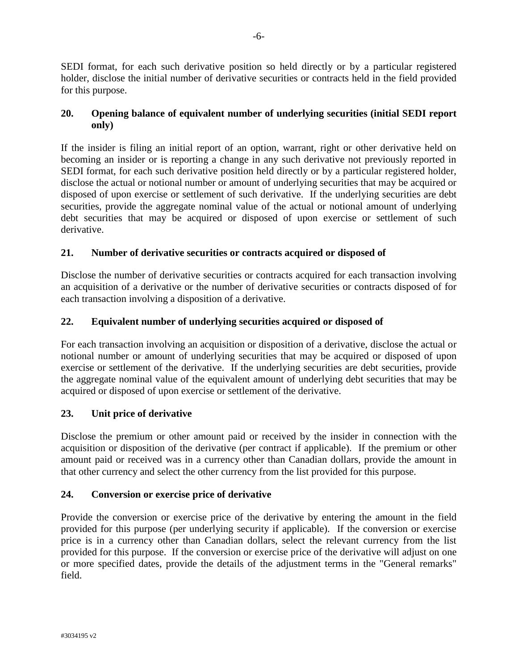SEDI format, for each such derivative position so held directly or by a particular registered holder, disclose the initial number of derivative securities or contracts held in the field provided for this purpose.

## **20. Opening balance of equivalent number of underlying securities (initial SEDI report only)**

If the insider is filing an initial report of an option, warrant, right or other derivative held on becoming an insider or is reporting a change in any such derivative not previously reported in SEDI format, for each such derivative position held directly or by a particular registered holder, disclose the actual or notional number or amount of underlying securities that may be acquired or disposed of upon exercise or settlement of such derivative. If the underlying securities are debt securities, provide the aggregate nominal value of the actual or notional amount of underlying debt securities that may be acquired or disposed of upon exercise or settlement of such derivative.

## **21. Number of derivative securities or contracts acquired or disposed of**

Disclose the number of derivative securities or contracts acquired for each transaction involving an acquisition of a derivative or the number of derivative securities or contracts disposed of for each transaction involving a disposition of a derivative.

## **22. Equivalent number of underlying securities acquired or disposed of**

For each transaction involving an acquisition or disposition of a derivative, disclose the actual or notional number or amount of underlying securities that may be acquired or disposed of upon exercise or settlement of the derivative. If the underlying securities are debt securities, provide the aggregate nominal value of the equivalent amount of underlying debt securities that may be acquired or disposed of upon exercise or settlement of the derivative.

## **23. Unit price of derivative**

Disclose the premium or other amount paid or received by the insider in connection with the acquisition or disposition of the derivative (per contract if applicable). If the premium or other amount paid or received was in a currency other than Canadian dollars, provide the amount in that other currency and select the other currency from the list provided for this purpose.

## **24. Conversion or exercise price of derivative**

Provide the conversion or exercise price of the derivative by entering the amount in the field provided for this purpose (per underlying security if applicable). If the conversion or exercise price is in a currency other than Canadian dollars, select the relevant currency from the list provided for this purpose. If the conversion or exercise price of the derivative will adjust on one or more specified dates, provide the details of the adjustment terms in the "General remarks" field.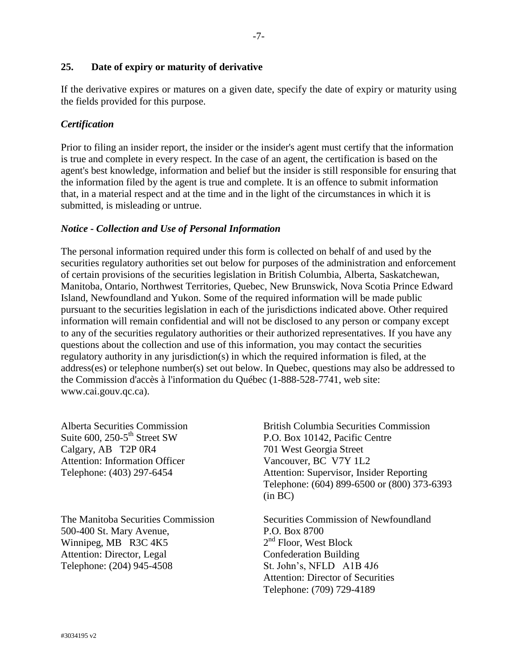#### **25. Date of expiry or maturity of derivative**

If the derivative expires or matures on a given date, specify the date of expiry or maturity using the fields provided for this purpose.

#### *Certification*

Prior to filing an insider report, the insider or the insider's agent must certify that the information is true and complete in every respect. In the case of an agent, the certification is based on the agent's best knowledge, information and belief but the insider is still responsible for ensuring that the information filed by the agent is true and complete. It is an offence to submit information that, in a material respect and at the time and in the light of the circumstances in which it is submitted, is misleading or untrue.

#### *Notice - Collection and Use of Personal Information*

The personal information required under this form is collected on behalf of and used by the securities regulatory authorities set out below for purposes of the administration and enforcement of certain provisions of the securities legislation in British Columbia, Alberta, Saskatchewan, Manitoba, Ontario, Northwest Territories, Quebec, New Brunswick, Nova Scotia Prince Edward Island, Newfoundland and Yukon. Some of the required information will be made public pursuant to the securities legislation in each of the jurisdictions indicated above. Other required information will remain confidential and will not be disclosed to any person or company except to any of the securities regulatory authorities or their authorized representatives. If you have any questions about the collection and use of this information, you may contact the securities regulatory authority in any jurisdiction(s) in which the required information is filed, at the address(es) or telephone number(s) set out below. In Quebec, questions may also be addressed to the Commission d'accès à l'information du Québec (1-888-528-7741, web site: www.cai.gouv.qc.ca).

Alberta Securities Commission Suite 600, 250-5<sup>th</sup> Street SW Calgary, AB T2P 0R4 Attention: Information Officer Telephone: (403) 297-6454

The Manitoba Securities Commission 500-400 St. Mary Avenue, Winnipeg, MB R3C 4K5 Attention: Director, Legal Telephone: (204) 945-4508

British Columbia Securities Commission P.O. Box 10142, Pacific Centre 701 West Georgia Street Vancouver, BC V7Y 1L2 Attention: Supervisor, Insider Reporting Telephone: (604) 899-6500 or (800) 373-6393 (in BC)

Securities Commission of Newfoundland P.O. Box 8700 2<sup>nd</sup> Floor, West Block Confederation Building St. John's, NFLD A1B 4J6 Attention: Director of Securities Telephone: (709) 729-4189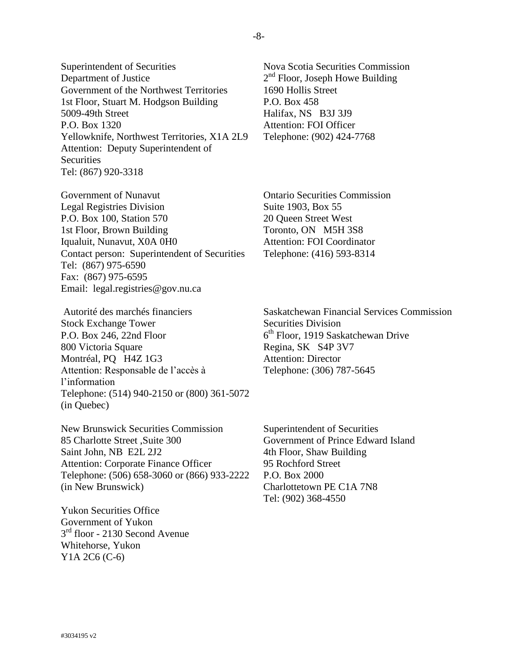Superintendent of Securities Department of Justice Government of the Northwest Territories 1st Floor, Stuart M. Hodgson Building 5009-49th Street P.O. Box 1320 Yellowknife, Northwest Territories, X1A 2L9 Attention: Deputy Superintendent of **Securities** Tel: (867) 920-3318

Government of Nunavut Legal Registries Division P.O. Box 100, Station 570 1st Floor, Brown Building Iqualuit, Nunavut, X0A 0H0 Contact person: Superintendent of Securities Tel: (867) 975-6590 Fax: (867) 975-6595 Email: legal.registries@gov.nu.ca

Autorité des marchés financiers Stock Exchange Tower P.O. Box 246, 22nd Floor 800 Victoria Square Montréal, PQ H4Z 1G3 Attention: Responsable de l'accès à l'information Telephone: (514) 940-2150 or (800) 361-5072 (in Quebec)

New Brunswick Securities Commission 85 Charlotte Street ,Suite 300 Saint John, NB E2L 2J2 Attention: Corporate Finance Officer Telephone: (506) 658-3060 or (866) 933-2222 (in New Brunswick)

Yukon Securities Office Government of Yukon 3<sup>rd</sup> floor - 2130 Second Avenue Whitehorse, Yukon Y1A 2C6 (C-6)

Nova Scotia Securities Commission 2<sup>nd</sup> Floor, Joseph Howe Building 1690 Hollis Street P.O. Box 458 Halifax, NS B3J 3J9 Attention: FOI Officer Telephone: (902) 424-7768

Ontario Securities Commission Suite 1903, Box 55 20 Queen Street West Toronto, ON M5H 3S8 Attention: FOI Coordinator Telephone: (416) 593-8314

Saskatchewan Financial Services Commission Securities Division 6<sup>th</sup> Floor, 1919 Saskatchewan Drive Regina, SK S4P 3V7 Attention: Director Telephone: (306) 787-5645

Superintendent of Securities Government of Prince Edward Island 4th Floor, Shaw Building 95 Rochford Street P.O. Box 2000 Charlottetown PE C1A 7N8 Tel: (902) 368-4550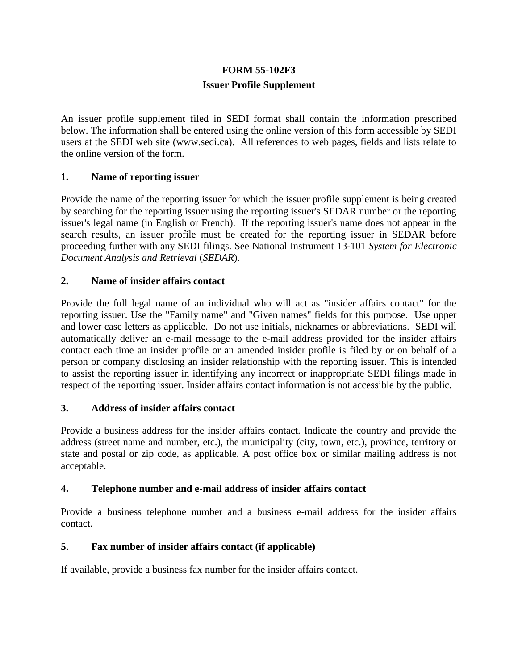# **FORM 55-102F3 Issuer Profile Supplement**

An issuer profile supplement filed in SEDI format shall contain the information prescribed below. The information shall be entered using the online version of this form accessible by SEDI users at the SEDI web site (www.sedi.ca). All references to web pages, fields and lists relate to the online version of the form.

## **1. Name of reporting issuer**

Provide the name of the reporting issuer for which the issuer profile supplement is being created by searching for the reporting issuer using the reporting issuer's SEDAR number or the reporting issuer's legal name (in English or French). If the reporting issuer's name does not appear in the search results, an issuer profile must be created for the reporting issuer in SEDAR before proceeding further with any SEDI filings. See National Instrument 13-101 *System for Electronic Document Analysis and Retrieval* (*SEDAR*).

## **2. Name of insider affairs contact**

Provide the full legal name of an individual who will act as "insider affairs contact" for the reporting issuer. Use the "Family name" and "Given names" fields for this purpose. Use upper and lower case letters as applicable. Do not use initials, nicknames or abbreviations. SEDI will automatically deliver an e-mail message to the e-mail address provided for the insider affairs contact each time an insider profile or an amended insider profile is filed by or on behalf of a person or company disclosing an insider relationship with the reporting issuer. This is intended to assist the reporting issuer in identifying any incorrect or inappropriate SEDI filings made in respect of the reporting issuer. Insider affairs contact information is not accessible by the public.

## **3. Address of insider affairs contact**

Provide a business address for the insider affairs contact. Indicate the country and provide the address (street name and number, etc.), the municipality (city, town, etc.), province, territory or state and postal or zip code, as applicable. A post office box or similar mailing address is not acceptable.

## **4. Telephone number and e-mail address of insider affairs contact**

Provide a business telephone number and a business e-mail address for the insider affairs contact.

## **5. Fax number of insider affairs contact (if applicable)**

If available, provide a business fax number for the insider affairs contact.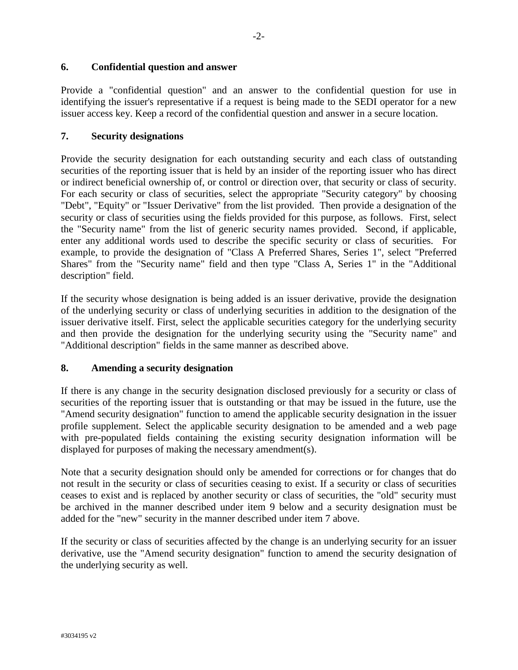#### **6. Confidential question and answer**

Provide a "confidential question" and an answer to the confidential question for use in identifying the issuer's representative if a request is being made to the SEDI operator for a new issuer access key. Keep a record of the confidential question and answer in a secure location.

#### **7. Security designations**

Provide the security designation for each outstanding security and each class of outstanding securities of the reporting issuer that is held by an insider of the reporting issuer who has direct or indirect beneficial ownership of, or control or direction over, that security or class of security. For each security or class of securities, select the appropriate "Security category" by choosing "Debt", "Equity" or "Issuer Derivative" from the list provided. Then provide a designation of the security or class of securities using the fields provided for this purpose, as follows. First, select the "Security name" from the list of generic security names provided. Second, if applicable, enter any additional words used to describe the specific security or class of securities. For example, to provide the designation of "Class A Preferred Shares, Series 1", select "Preferred Shares" from the "Security name" field and then type "Class A, Series 1" in the "Additional description" field.

If the security whose designation is being added is an issuer derivative, provide the designation of the underlying security or class of underlying securities in addition to the designation of the issuer derivative itself. First, select the applicable securities category for the underlying security and then provide the designation for the underlying security using the "Security name" and "Additional description" fields in the same manner as described above.

#### **8. Amending a security designation**

If there is any change in the security designation disclosed previously for a security or class of securities of the reporting issuer that is outstanding or that may be issued in the future, use the "Amend security designation" function to amend the applicable security designation in the issuer profile supplement. Select the applicable security designation to be amended and a web page with pre-populated fields containing the existing security designation information will be displayed for purposes of making the necessary amendment(s).

Note that a security designation should only be amended for corrections or for changes that do not result in the security or class of securities ceasing to exist. If a security or class of securities ceases to exist and is replaced by another security or class of securities, the "old" security must be archived in the manner described under item 9 below and a security designation must be added for the "new" security in the manner described under item 7 above.

If the security or class of securities affected by the change is an underlying security for an issuer derivative, use the "Amend security designation" function to amend the security designation of the underlying security as well.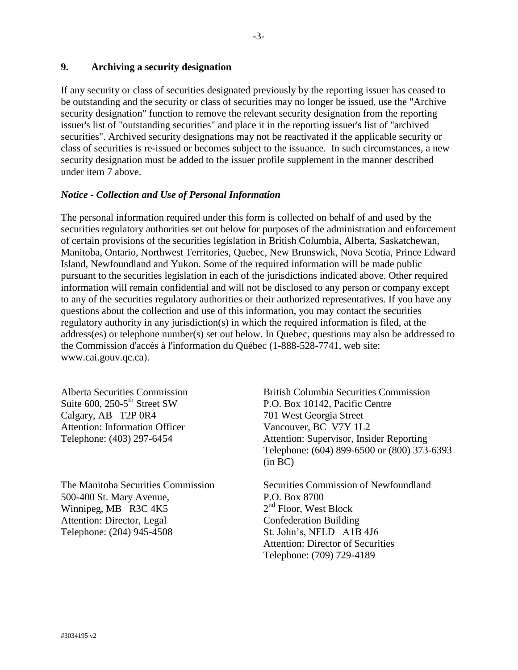#### **9. Archiving a security designation**

If any security or class of securities designated previously by the reporting issuer has ceased to be outstanding and the security or class of securities may no longer be issued, use the "Archive security designation" function to remove the relevant security designation from the reporting issuer's list of "outstanding securities" and place it in the reporting issuer's list of "archived securities". Archived security designations may not be reactivated if the applicable security or class of securities is re-issued or becomes subject to the issuance. In such circumstances, a new security designation must be added to the issuer profile supplement in the manner described under item 7 above.

#### *Notice - Collection and Use of Personal Information*

The personal information required under this form is collected on behalf of and used by the securities regulatory authorities set out below for purposes of the administration and enforcement of certain provisions of the securities legislation in British Columbia, Alberta, Saskatchewan, Manitoba, Ontario, Northwest Territories, Quebec, New Brunswick, Nova Scotia, Prince Edward Island, Newfoundland and Yukon. Some of the required information will be made public pursuant to the securities legislation in each of the jurisdictions indicated above. Other required information will remain confidential and will not be disclosed to any person or company except to any of the securities regulatory authorities or their authorized representatives. If you have any questions about the collection and use of this information, you may contact the securities regulatory authority in any jurisdiction(s) in which the required information is filed, at the address(es) or telephone number(s) set out below. In Quebec, questions may also be addressed to the Commission d'accès à l'information du Québec (1-888-528-7741, web site: www.cai.gouv.qc.ca).

Alberta Securities Commission Suite 600, 250-5<sup>th</sup> Street SW Calgary, AB T2P 0R4 Attention: Information Officer Telephone: (403) 297-6454

The Manitoba Securities Commission 500-400 St. Mary Avenue, Winnipeg, MB R3C 4K5 Attention: Director, Legal Telephone: (204) 945-4508

British Columbia Securities Commission P.O. Box 10142, Pacific Centre 701 West Georgia Street Vancouver, BC V7Y 1L2 Attention: Supervisor, Insider Reporting Telephone: (604) 899-6500 or (800) 373-6393 (in BC)

Securities Commission of Newfoundland P.O. Box 8700 2<sup>nd</sup> Floor, West Block Confederation Building St. John's, NFLD A1B 4J6 Attention: Director of Securities Telephone: (709) 729-4189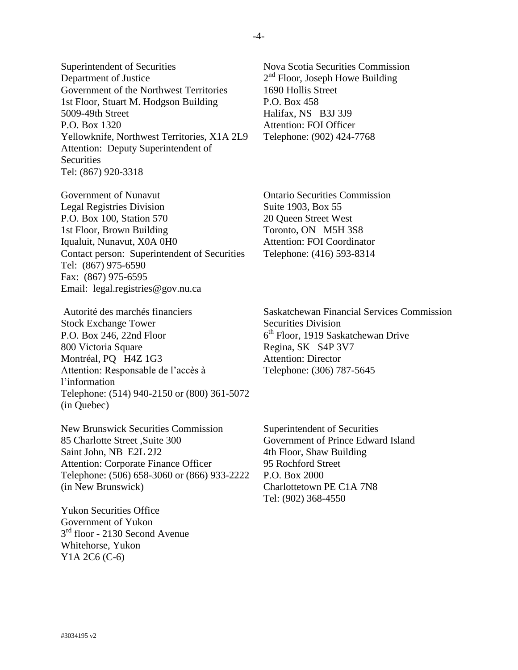Superintendent of Securities Department of Justice Government of the Northwest Territories 1st Floor, Stuart M. Hodgson Building 5009-49th Street P.O. Box 1320 Yellowknife, Northwest Territories, X1A 2L9 Attention: Deputy Superintendent of **Securities** Tel: (867) 920-3318

Government of Nunavut Legal Registries Division P.O. Box 100, Station 570 1st Floor, Brown Building Iqualuit, Nunavut, X0A 0H0 Contact person: Superintendent of Securities Tel: (867) 975-6590 Fax: (867) 975-6595 Email: legal.registries@gov.nu.ca

Autorité des marchés financiers Stock Exchange Tower P.O. Box 246, 22nd Floor 800 Victoria Square Montréal, PQ H4Z 1G3 Attention: Responsable de l'accès à l'information Telephone: (514) 940-2150 or (800) 361-5072 (in Quebec)

New Brunswick Securities Commission 85 Charlotte Street ,Suite 300 Saint John, NB E2L 2J2 Attention: Corporate Finance Officer Telephone: (506) 658-3060 or (866) 933-2222 (in New Brunswick)

Yukon Securities Office Government of Yukon 3<sup>rd</sup> floor - 2130 Second Avenue Whitehorse, Yukon Y1A 2C6 (C-6)

Nova Scotia Securities Commission 2<sup>nd</sup> Floor, Joseph Howe Building 1690 Hollis Street P.O. Box 458 Halifax, NS B3J 3J9 Attention: FOI Officer Telephone: (902) 424-7768

Ontario Securities Commission Suite 1903, Box 55 20 Queen Street West Toronto, ON M5H 3S8 Attention: FOI Coordinator Telephone: (416) 593-8314

Saskatchewan Financial Services Commission Securities Division 6<sup>th</sup> Floor, 1919 Saskatchewan Drive Regina, SK S4P 3V7 Attention: Director Telephone: (306) 787-5645

Superintendent of Securities Government of Prince Edward Island 4th Floor, Shaw Building 95 Rochford Street P.O. Box 2000 Charlottetown PE C1A 7N8 Tel: (902) 368-4550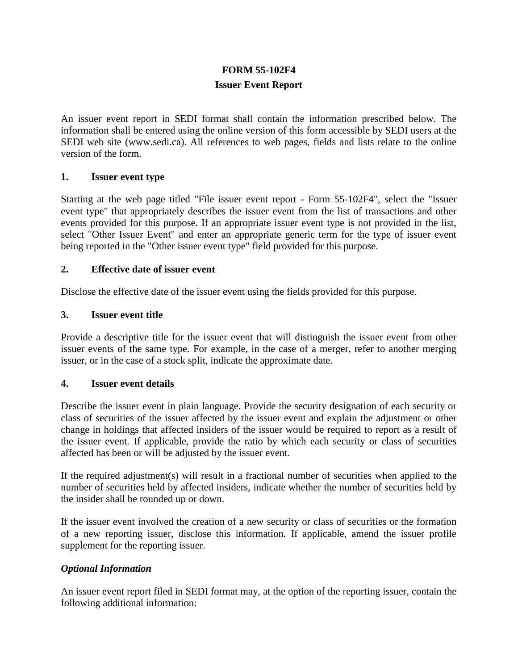# **FORM 55-102F4 Issuer Event Report**

An issuer event report in SEDI format shall contain the information prescribed below. The information shall be entered using the online version of this form accessible by SEDI users at the SEDI web site (www.sedi.ca). All references to web pages, fields and lists relate to the online version of the form.

### **1. Issuer event type**

Starting at the web page titled "File issuer event report - Form 55-102F4", select the "Issuer event type" that appropriately describes the issuer event from the list of transactions and other events provided for this purpose. If an appropriate issuer event type is not provided in the list, select "Other Issuer Event" and enter an appropriate generic term for the type of issuer event being reported in the "Other issuer event type" field provided for this purpose.

### **2. Effective date of issuer event**

Disclose the effective date of the issuer event using the fields provided for this purpose.

### **3. Issuer event title**

Provide a descriptive title for the issuer event that will distinguish the issuer event from other issuer events of the same type. For example, in the case of a merger, refer to another merging issuer, or in the case of a stock split, indicate the approximate date.

#### **4. Issuer event details**

Describe the issuer event in plain language. Provide the security designation of each security or class of securities of the issuer affected by the issuer event and explain the adjustment or other change in holdings that affected insiders of the issuer would be required to report as a result of the issuer event. If applicable, provide the ratio by which each security or class of securities affected has been or will be adjusted by the issuer event.

If the required adjustment(s) will result in a fractional number of securities when applied to the number of securities held by affected insiders, indicate whether the number of securities held by the insider shall be rounded up or down.

If the issuer event involved the creation of a new security or class of securities or the formation of a new reporting issuer, disclose this information. If applicable, amend the issuer profile supplement for the reporting issuer.

## *Optional Information*

An issuer event report filed in SEDI format may, at the option of the reporting issuer, contain the following additional information: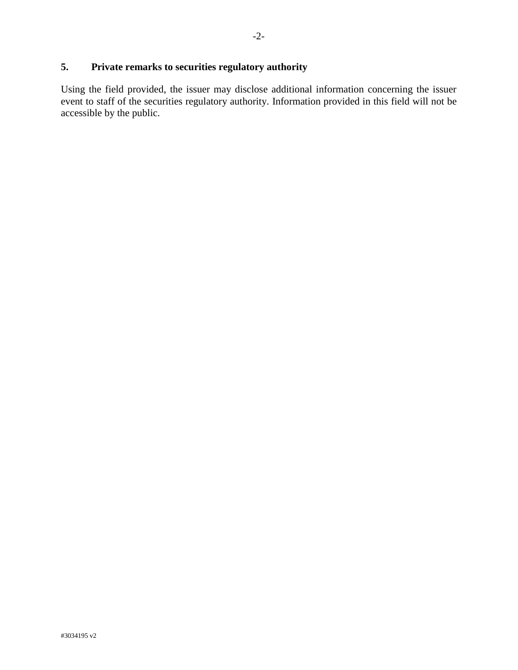# **5. Private remarks to securities regulatory authority**

Using the field provided, the issuer may disclose additional information concerning the issuer event to staff of the securities regulatory authority. Information provided in this field will not be accessible by the public.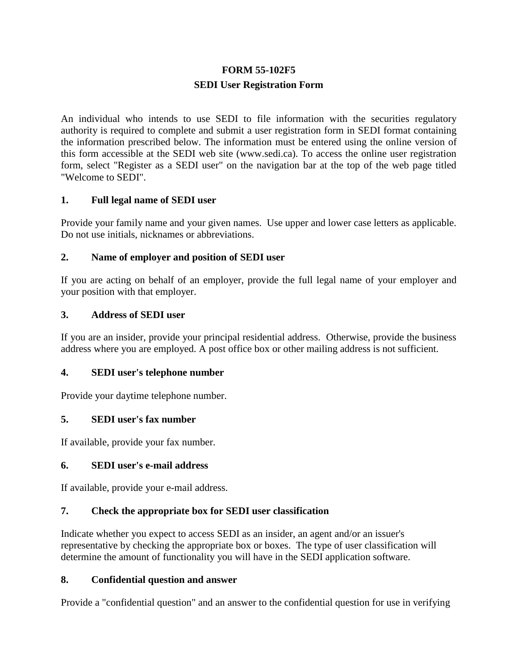# **FORM 55-102F5 SEDI User Registration Form**

An individual who intends to use SEDI to file information with the securities regulatory authority is required to complete and submit a user registration form in SEDI format containing the information prescribed below. The information must be entered using the online version of this form accessible at the SEDI web site (www.sedi.ca). To access the online user registration form, select "Register as a SEDI user" on the navigation bar at the top of the web page titled "Welcome to SEDI".

### **1. Full legal name of SEDI user**

Provide your family name and your given names. Use upper and lower case letters as applicable. Do not use initials, nicknames or abbreviations.

### **2. Name of employer and position of SEDI user**

If you are acting on behalf of an employer, provide the full legal name of your employer and your position with that employer.

### **3. Address of SEDI user**

If you are an insider, provide your principal residential address. Otherwise, provide the business address where you are employed. A post office box or other mailing address is not sufficient.

## **4. SEDI user's telephone number**

Provide your daytime telephone number.

#### **5. SEDI user's fax number**

If available, provide your fax number.

#### **6. SEDI user's e-mail address**

If available, provide your e-mail address.

## **7. Check the appropriate box for SEDI user classification**

Indicate whether you expect to access SEDI as an insider, an agent and/or an issuer's representative by checking the appropriate box or boxes. The type of user classification will determine the amount of functionality you will have in the SEDI application software.

#### **8. Confidential question and answer**

Provide a "confidential question" and an answer to the confidential question for use in verifying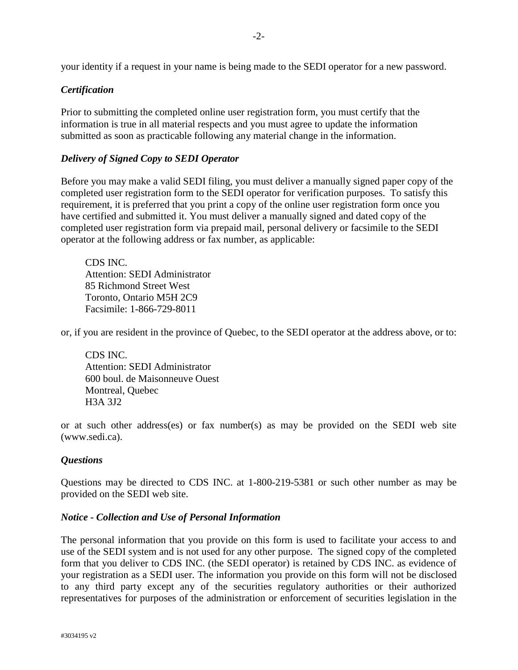your identity if a request in your name is being made to the SEDI operator for a new password.

#### *Certification*

Prior to submitting the completed online user registration form, you must certify that the information is true in all material respects and you must agree to update the information submitted as soon as practicable following any material change in the information.

### *Delivery of Signed Copy to SEDI Operator*

Before you may make a valid SEDI filing, you must deliver a manually signed paper copy of the completed user registration form to the SEDI operator for verification purposes. To satisfy this requirement, it is preferred that you print a copy of the online user registration form once you have certified and submitted it. You must deliver a manually signed and dated copy of the completed user registration form via prepaid mail, personal delivery or facsimile to the SEDI operator at the following address or fax number, as applicable:

CDS INC. Attention: SEDI Administrator 85 Richmond Street West Toronto, Ontario M5H 2C9 Facsimile: 1-866-729-8011

or, if you are resident in the province of Quebec, to the SEDI operator at the address above, or to:

CDS INC. Attention: SEDI Administrator 600 boul. de Maisonneuve Ouest Montreal, Quebec H3A 3J2

or at such other address(es) or fax number(s) as may be provided on the SEDI web site (www.sedi.ca).

#### *Questions*

Questions may be directed to CDS INC. at 1-800-219-5381 or such other number as may be provided on the SEDI web site.

#### *Notice - Collection and Use of Personal Information*

The personal information that you provide on this form is used to facilitate your access to and use of the SEDI system and is not used for any other purpose. The signed copy of the completed form that you deliver to CDS INC. (the SEDI operator) is retained by CDS INC. as evidence of your registration as a SEDI user. The information you provide on this form will not be disclosed to any third party except any of the securities regulatory authorities or their authorized representatives for purposes of the administration or enforcement of securities legislation in the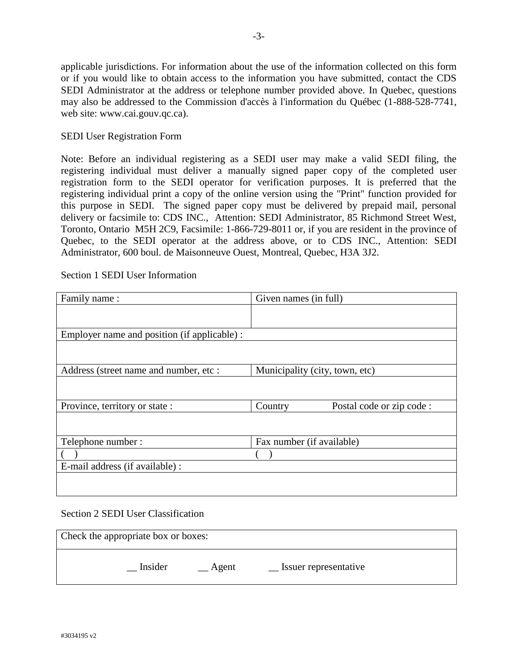applicable jurisdictions. For information about the use of the information collected on this form or if you would like to obtain access to the information you have submitted, contact the CDS SEDI Administrator at the address or telephone number provided above. In Quebec, questions may also be addressed to the Commission d'accès à l'information du Québec (1-888-528-7741, web site: www.cai.gouv.qc.ca).

#### SEDI User Registration Form

Note: Before an individual registering as a SEDI user may make a valid SEDI filing, the registering individual must deliver a manually signed paper copy of the completed user registration form to the SEDI operator for verification purposes. It is preferred that the registering individual print a copy of the online version using the "Print" function provided for this purpose in SEDI. The signed paper copy must be delivered by prepaid mail, personal delivery or facsimile to: CDS INC., Attention: SEDI Administrator, 85 Richmond Street West, Toronto, Ontario M5H 2C9, Facsimile: 1-866-729-8011 or, if you are resident in the province of Quebec, to the SEDI operator at the address above, or to CDS INC., Attention: SEDI Administrator, 600 boul. de Maisonneuve Ouest, Montreal, Quebec, H3A 3J2.

Section 1 SEDI User Information

| Family name:                                 | Given names (in full)          |                           |
|----------------------------------------------|--------------------------------|---------------------------|
|                                              |                                |                           |
|                                              |                                |                           |
| Employer name and position (if applicable) : |                                |                           |
|                                              |                                |                           |
|                                              |                                |                           |
| Address (street name and number, etc :       | Municipality (city, town, etc) |                           |
|                                              |                                |                           |
|                                              |                                |                           |
| Province, territory or state :               | Country                        | Postal code or zip code : |
|                                              |                                |                           |
|                                              |                                |                           |
| Telephone number:                            | Fax number (if available)      |                           |
|                                              |                                |                           |
| E-mail address (if available) :              |                                |                           |
|                                              |                                |                           |
|                                              |                                |                           |

#### Section 2 SEDI User Classification

| Check the appropriate box or boxes: |                      |                       |  |  |  |
|-------------------------------------|----------------------|-----------------------|--|--|--|
| Insider                             | <sub>_</sub> _ Agent | Issuer representative |  |  |  |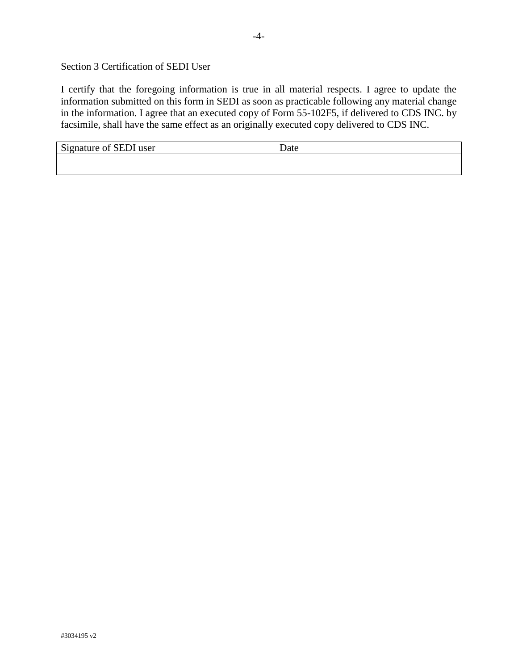Section 3 Certification of SEDI User

I certify that the foregoing information is true in all material respects. I agree to update the information submitted on this form in SEDI as soon as practicable following any material change in the information. I agree that an executed copy of Form 55-102F5, if delivered to CDS INC. by facsimile, shall have the same effect as an originally executed copy delivered to CDS INC.

| $\sim$<br>1000<br>OI DEDI USEI<br>DI. | Date |
|---------------------------------------|------|
|                                       |      |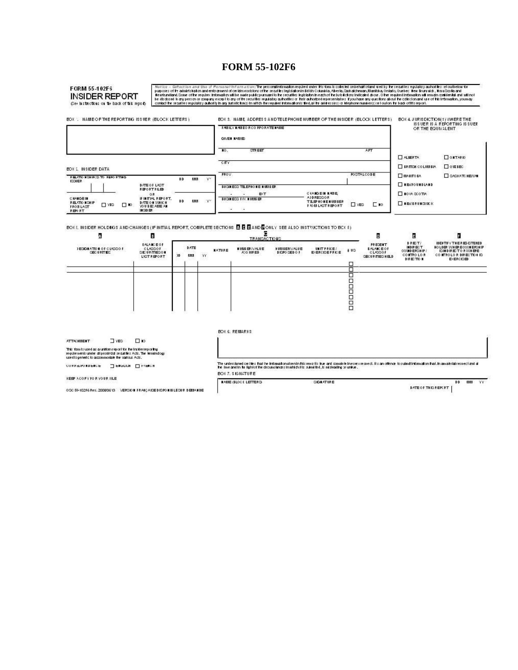#### **FORM 55-102F6**

FORM 55-102F6 **INSIDER REPORT** See la stuctions on the back of this report)

. Notice – Celection and Use of Personal information: The personalmitmator required witet Hs form is colocial on behalf of order in colocide and the personal information of the personal information of the seculity of the i

| BOX : NAME OF THE REPORTING ISSUER (BLOCK LETTERS).                                                                                                                                                                         | BOX 3. NAME ADDRESS AND TELEPHONE NUMBER OF THE INSIDER (BLOCK LETTERS).<br>FAMILY NAMED RCO RPORATE NAME:<br><b>GIVEN NAMED</b>                                                                     | BOX 4. JURISDICTION(\$) WHERE THE<br>ISSUER IS A REPORTING ISSUER<br>OR THE BOUNALENT. |
|-----------------------------------------------------------------------------------------------------------------------------------------------------------------------------------------------------------------------------|------------------------------------------------------------------------------------------------------------------------------------------------------------------------------------------------------|----------------------------------------------------------------------------------------|
| BOX 1. INSIDER DATA                                                                                                                                                                                                         | APT<br><b>STREET</b><br>NO.<br>CLL                                                                                                                                                                   | $\Box$ ONTARIO<br>ALBERTA<br>$a$ or sec<br><b>EXPIRED COLUMBIA.</b>                    |
| <b>RELATIO NONING TO REPORTING</b><br>mm<br>$\mathbf{Y}^{\prime}$<br><b>DD</b><br><b>ICCUER</b><br>DATE OF LAST<br><b>REPORTFILED</b>                                                                                       | PROV<br><b>POSTALCODE</b><br><b>BUGINESS TREPHONE NUMBER</b>                                                                                                                                         | <b>MAITORA</b><br><b>BASKATCHEAM</b><br><b>NEVFOUNDLAND</b>                            |
| OR<br><b>CHANGEIN</b><br>IF INITIAL REPORT.<br>D <sub>D</sub><br>$Y^c$<br><b>MM</b><br>RELATIO NONIP<br>DATE ON VAHICH.<br>$\Box$ YBO<br>$\blacksquare$ NO<br>YOU BECAME AN<br><b>FROM LAST</b><br><b>INGIDER</b><br>REPORT | <b>CHANGEIN NAME</b><br>EXT<br>AJDRESSOR<br>BUGIN BOG FAX NUMBER<br><b>TELPHONENUMBER</b><br><b>TYBS</b><br>$\blacksquare$ NO<br><b>FROM LAST REPORT</b><br>$\langle \cdot, \cdot \rangle$<br>$\sim$ | <b>NOTA SCOTTA</b><br><b>HEVERUNGANCK</b>                                              |

#### BOX 5. INSIDER HOLDINGS AND CHANGES (IF INITIAL REPORT, COMPLETE SECTIONS **Q Q Q** AND **C**ONLY SEE ALSO INSTRUCTIONS TO BOX 5)

| A                                                                                                                                                                                           |               | B                 |    |        |                                         |                                     | Ξ<br><b>TRANSACTIONS</b>                 |                                                                                                 |                                                                   |                                                                   | D                                                                                                                                   | E                    | П                                                                                                                                                                                |  |
|---------------------------------------------------------------------------------------------------------------------------------------------------------------------------------------------|---------------|-------------------|----|--------|-----------------------------------------|-------------------------------------|------------------------------------------|-------------------------------------------------------------------------------------------------|-------------------------------------------------------------------|-------------------------------------------------------------------|-------------------------------------------------------------------------------------------------------------------------------------|----------------------|----------------------------------------------------------------------------------------------------------------------------------------------------------------------------------|--|
| <b>EALANCE OF</b><br><b>JESIGNATION OF CLASSOF</b><br><b>CLASSOF</b><br><b>GEO URITIED</b><br><b>SEURTHESON</b><br>1980 - 1980 - 1980 - 1980 - 19<br>LIGTREPORT                             | $\mathcal{D}$ | <b>DATE</b><br>MM | YY | NATURE | <b>NUMBER/VALUE</b><br><b>ACQ UIRED</b> | <b>NUMBERVALUE</b><br>DIGPO GED O F | <b>UNITPRICE</b><br><b>EXERCISEPRICE</b> | \$05                                                                                            | PRESENT<br><b>BALANCE OF</b><br>CLASSOF<br><b>SECURITIES HELD</b> | $0$ RECT/<br>INDIRECT<br>OWND ERSHIP!<br>CONTROLOR<br>DIEED TO M. | <b>IDENTIFY THE REGISTERED</b><br>HO LDER WHEREOWN ERSHIP<br><b>ISINDIRECTORWHERE</b><br>CONTROLOR DIRECTION IS<br><b>EXERCISED</b> |                      |                                                                                                                                                                                  |  |
|                                                                                                                                                                                             |               |                   |    |        |                                         |                                     |                                          |                                                                                                 |                                                                   | □                                                                 |                                                                                                                                     |                      |                                                                                                                                                                                  |  |
|                                                                                                                                                                                             |               |                   |    |        |                                         |                                     |                                          |                                                                                                 |                                                                   | ◻                                                                 |                                                                                                                                     |                      |                                                                                                                                                                                  |  |
|                                                                                                                                                                                             |               |                   |    |        |                                         |                                     |                                          |                                                                                                 |                                                                   |                                                                   |                                                                                                                                     |                      |                                                                                                                                                                                  |  |
|                                                                                                                                                                                             |               |                   |    |        |                                         |                                     |                                          |                                                                                                 |                                                                   | 00000                                                             |                                                                                                                                     |                      |                                                                                                                                                                                  |  |
|                                                                                                                                                                                             |               |                   |    |        |                                         |                                     |                                          |                                                                                                 |                                                                   |                                                                   |                                                                                                                                     |                      |                                                                                                                                                                                  |  |
|                                                                                                                                                                                             |               |                   |    |        |                                         |                                     |                                          |                                                                                                 |                                                                   |                                                                   |                                                                                                                                     |                      |                                                                                                                                                                                  |  |
|                                                                                                                                                                                             |               |                   |    |        |                                         |                                     |                                          |                                                                                                 |                                                                   |                                                                   |                                                                                                                                     |                      |                                                                                                                                                                                  |  |
|                                                                                                                                                                                             |               |                   |    |        |                                         |                                     | <b>BOX 6. REMARKS</b>                    |                                                                                                 |                                                                   |                                                                   |                                                                                                                                     |                      |                                                                                                                                                                                  |  |
| <b>ATTACHMENT</b>                                                                                                                                                                           | $T$ YES:      | CK O              |    |        |                                         |                                     |                                          |                                                                                                 |                                                                   |                                                                   |                                                                                                                                     |                      |                                                                                                                                                                                  |  |
| This riam is used as a uniform report for the insider reporting.<br>regulrements under all provincial securities Acts. The lermind ogy-<br>used is generic to accommodate the warlous Acts. |               |                   |    |        |                                         |                                     |                                          |                                                                                                 |                                                                   |                                                                   |                                                                                                                                     |                      |                                                                                                                                                                                  |  |
| <b>CORRESPONDEREE</b>                                                                                                                                                                       |               | TERULER THERE     |    |        |                                         |                                     | BOX 7, SIGNATURE                         | the line and in the light of the droundlanges in which life submitted, is misleading or unitue. |                                                                   |                                                                   |                                                                                                                                     |                      | The unterstaned certiles that he information of vention his react is tue and conside the very respect. It s an offence losutin il information that, in amakrilaties pect and all |  |
| KEEP ACOPY FOR YOUR IILE                                                                                                                                                                    |               |                   |    |        |                                         |                                     | <b>NAME (BLOCK LETTERS)</b>              |                                                                                                 | <b>SIGNATURE</b>                                                  |                                                                   |                                                                                                                                     |                      | MM YY<br>D <sub>D</sub>                                                                                                                                                          |  |
| 0SC \$5-102F6 Rev. 2008/06/13 VERSION FRANÇAISED ISPONIBLESUR DEMANDE                                                                                                                       |               |                   |    |        |                                         |                                     |                                          |                                                                                                 |                                                                   |                                                                   |                                                                                                                                     | DATE OF THIS REPORT. |                                                                                                                                                                                  |  |